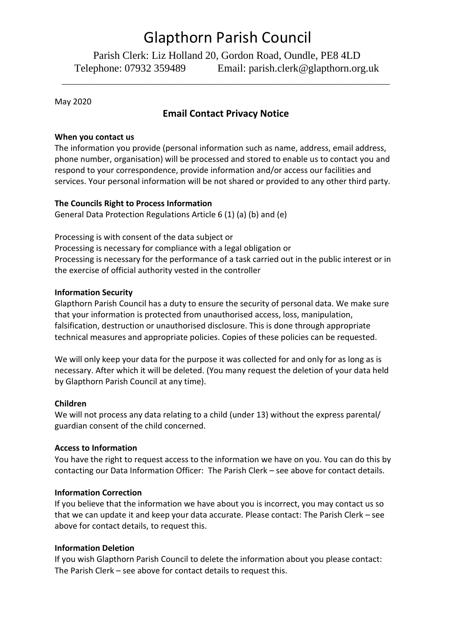# Glapthorn Parish Council

Parish Clerk: Liz Holland 20, Gordon Road, Oundle, PE8 4LD Telephone: 07932 359489 Email: parish.clerk@glapthorn.org.uk

\_\_\_\_\_\_\_\_\_\_\_\_\_\_\_\_\_\_\_\_\_\_\_\_\_\_\_\_\_\_\_\_\_\_\_\_\_\_\_\_\_\_\_\_\_\_\_\_\_\_\_\_\_\_\_\_\_\_\_\_\_\_\_\_\_\_\_\_\_\_\_\_

May 2020

# **Email Contact Privacy Notice**

#### **When you contact us**

The information you provide (personal information such as name, address, email address, phone number, organisation) will be processed and stored to enable us to contact you and respond to your correspondence, provide information and/or access our facilities and services. Your personal information will be not shared or provided to any other third party.

# **The Councils Right to Process Information**

General Data Protection Regulations Article 6 (1) (a) (b) and (e)

Processing is with consent of the data subject or Processing is necessary for compliance with a legal obligation or Processing is necessary for the performance of a task carried out in the public interest or in the exercise of official authority vested in the controller

# **Information Security**

Glapthorn Parish Council has a duty to ensure the security of personal data. We make sure that your information is protected from unauthorised access, loss, manipulation, falsification, destruction or unauthorised disclosure. This is done through appropriate technical measures and appropriate policies. Copies of these policies can be requested.

We will only keep your data for the purpose it was collected for and only for as long as is necessary. After which it will be deleted. (You many request the deletion of your data held by Glapthorn Parish Council at any time).

#### **Children**

We will not process any data relating to a child (under 13) without the express parental/ guardian consent of the child concerned.

#### **Access to Information**

You have the right to request access to the information we have on you. You can do this by contacting our Data Information Officer: The Parish Clerk – see above for contact details.

# **Information Correction**

If you believe that the information we have about you is incorrect, you may contact us so that we can update it and keep your data accurate. Please contact: The Parish Clerk – see above for contact details, to request this.

# **Information Deletion**

If you wish Glapthorn Parish Council to delete the information about you please contact: The Parish Clerk – see above for contact details to request this.